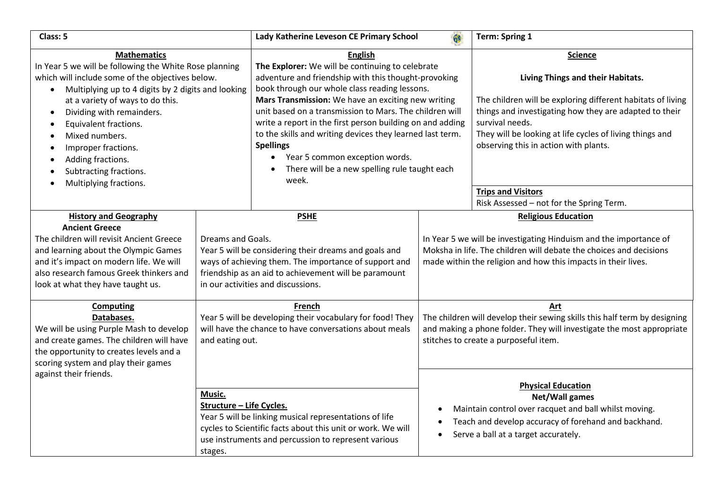| Class: 5                                                                                                                                                                                                                                                                                                                                                                                                                                                                              |                                                                                                                                                                                                                                    | Lady Katherine Leveson CE Primary School                                                                                                                                                                                                                                                                                                                                                                                                                                                                                               |                                                                                                                                                                                                          | <b>Term: Spring 1</b>                                                                                                                                                                                                                                                                                                             |
|---------------------------------------------------------------------------------------------------------------------------------------------------------------------------------------------------------------------------------------------------------------------------------------------------------------------------------------------------------------------------------------------------------------------------------------------------------------------------------------|------------------------------------------------------------------------------------------------------------------------------------------------------------------------------------------------------------------------------------|----------------------------------------------------------------------------------------------------------------------------------------------------------------------------------------------------------------------------------------------------------------------------------------------------------------------------------------------------------------------------------------------------------------------------------------------------------------------------------------------------------------------------------------|----------------------------------------------------------------------------------------------------------------------------------------------------------------------------------------------------------|-----------------------------------------------------------------------------------------------------------------------------------------------------------------------------------------------------------------------------------------------------------------------------------------------------------------------------------|
| <b>Mathematics</b><br>In Year 5 we will be following the White Rose planning<br>which will include some of the objectives below.<br>Multiplying up to 4 digits by 2 digits and looking<br>$\bullet$<br>at a variety of ways to do this.<br>Dividing with remainders.<br>$\bullet$<br>Equivalent fractions.<br>$\bullet$<br>Mixed numbers.<br>٠<br>Improper fractions.<br>$\bullet$<br>Adding fractions.<br>$\bullet$<br>Subtracting fractions.<br>$\bullet$<br>Multiplying fractions. |                                                                                                                                                                                                                                    | <b>English</b><br>The Explorer: We will be continuing to celebrate<br>adventure and friendship with this thought-provoking<br>book through our whole class reading lessons.<br>Mars Transmission: We have an exciting new writing<br>unit based on a transmission to Mars. The children will<br>write a report in the first person building on and adding<br>to the skills and writing devices they learned last term.<br><b>Spellings</b><br>Year 5 common exception words.<br>There will be a new spelling rule taught each<br>week. |                                                                                                                                                                                                          | <b>Science</b><br>Living Things and their Habitats.<br>The children will be exploring different habitats of living<br>things and investigating how they are adapted to their<br>survival needs.<br>They will be looking at life cycles of living things and<br>observing this in action with plants.<br><b>Trips and Visitors</b> |
|                                                                                                                                                                                                                                                                                                                                                                                                                                                                                       |                                                                                                                                                                                                                                    |                                                                                                                                                                                                                                                                                                                                                                                                                                                                                                                                        |                                                                                                                                                                                                          | Risk Assessed - not for the Spring Term.                                                                                                                                                                                                                                                                                          |
| <b>History and Geography</b>                                                                                                                                                                                                                                                                                                                                                                                                                                                          |                                                                                                                                                                                                                                    | <b>PSHE</b>                                                                                                                                                                                                                                                                                                                                                                                                                                                                                                                            |                                                                                                                                                                                                          | <b>Religious Education</b>                                                                                                                                                                                                                                                                                                        |
| <b>Ancient Greece</b><br>The children will revisit Ancient Greece<br>and learning about the Olympic Games<br>and it's impact on modern life. We will<br>also research famous Greek thinkers and<br>look at what they have taught us.                                                                                                                                                                                                                                                  | Dreams and Goals.<br>Year 5 will be considering their dreams and goals and<br>ways of achieving them. The importance of support and<br>friendship as an aid to achievement will be paramount<br>in our activities and discussions. |                                                                                                                                                                                                                                                                                                                                                                                                                                                                                                                                        | In Year 5 we will be investigating Hinduism and the importance of<br>Moksha in life. The children will debate the choices and decisions<br>made within the religion and how this impacts in their lives. |                                                                                                                                                                                                                                                                                                                                   |
| <b>Computing</b><br>Databases.<br>We will be using Purple Mash to develop<br>and create games. The children will have<br>the opportunity to creates levels and a<br>scoring system and play their games                                                                                                                                                                                                                                                                               | Year 5 will be developing their vocabulary for food! They<br>will have the chance to have conversations about meals<br>and eating out.                                                                                             |                                                                                                                                                                                                                                                                                                                                                                                                                                                                                                                                        | Art<br>The children will develop their sewing skills this half term by designing<br>and making a phone folder. They will investigate the most appropriate<br>stitches to create a purposeful item.       |                                                                                                                                                                                                                                                                                                                                   |
| against their friends.                                                                                                                                                                                                                                                                                                                                                                                                                                                                | Music.<br>Structure - Life Cycles.<br>stages.                                                                                                                                                                                      | Year 5 will be linking musical representations of life<br>cycles to Scientific facts about this unit or work. We will<br>use instruments and percussion to represent various                                                                                                                                                                                                                                                                                                                                                           |                                                                                                                                                                                                          | <b>Physical Education</b><br>Net/Wall games<br>Maintain control over racquet and ball whilst moving.<br>Teach and develop accuracy of forehand and backhand.<br>Serve a ball at a target accurately.                                                                                                                              |